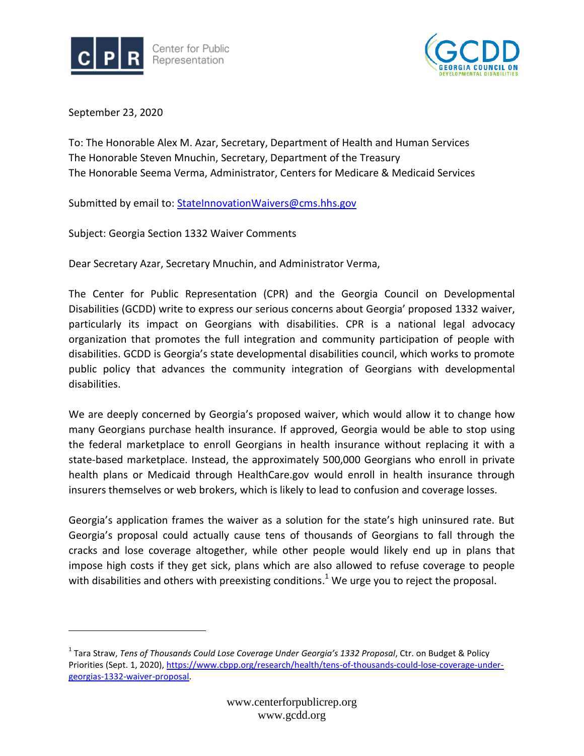



September 23, 2020

 $\overline{\phantom{a}}$ 

To: The Honorable Alex M. Azar, Secretary, Department of Health and Human Services The Honorable Steven Mnuchin, Secretary, Department of the Treasury The Honorable Seema Verma, Administrator, Centers for Medicare & Medicaid Services

Submitted by email to[: StateInnovationWaivers@cms.hhs.gov](mailto:StateInnovationWaivers@cms.hhs.gov)

Subject: Georgia Section 1332 Waiver Comments

Dear Secretary Azar, Secretary Mnuchin, and Administrator Verma,

The Center for Public Representation (CPR) and the Georgia Council on Developmental Disabilities (GCDD) write to express our serious concerns about Georgia' proposed 1332 waiver, particularly its impact on Georgians with disabilities. CPR is a national legal advocacy organization that promotes the full integration and community participation of people with disabilities. GCDD is Georgia's state developmental disabilities council, which works to promote public policy that advances the community integration of Georgians with developmental disabilities.

We are deeply concerned by Georgia's proposed waiver, which would allow it to change how many Georgians purchase health insurance. If approved, Georgia would be able to stop using the federal marketplace to enroll Georgians in health insurance without replacing it with a state-based marketplace. Instead, the approximately 500,000 Georgians who enroll in private health plans or Medicaid through HealthCare.gov would enroll in health insurance through insurers themselves or web brokers, which is likely to lead to confusion and coverage losses.

Georgia's application frames the waiver as a solution for the state's high uninsured rate. But Georgia's proposal could actually cause tens of thousands of Georgians to fall through the cracks and lose coverage altogether, while other people would likely end up in plans that impose high costs if they get sick, plans which are also allowed to refuse coverage to people with disabilities and others with preexisting conditions.<sup>1</sup> We urge you to reject the proposal.

<sup>1</sup> Tara Straw, *Tens of Thousands Could Lose Coverage Under Georgia's 1332 Proposal*, Ctr. on Budget & Policy Priorities (Sept. 1, 2020), [https://www.cbpp.org/research/health/tens-of-thousands-could-lose-coverage-under](https://www.cbpp.org/research/health/tens-of-thousands-could-lose-coverage-under-georgias-1332-waiver-proposal)[georgias-1332-waiver-proposal.](https://www.cbpp.org/research/health/tens-of-thousands-could-lose-coverage-under-georgias-1332-waiver-proposal)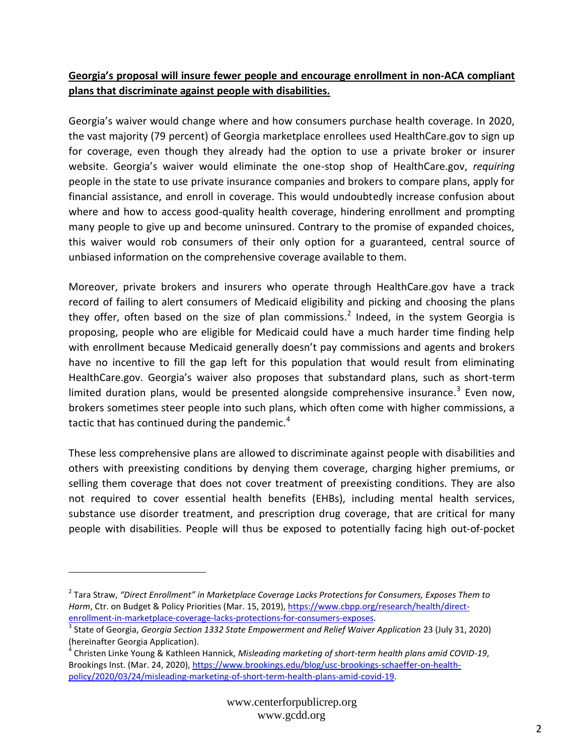## **Georgia's proposal will insure fewer people and encourage enrollment in non-ACA compliant plans that discriminate against people with disabilities.**

Georgia's waiver would change where and how consumers purchase health coverage. In 2020, the vast majority (79 percent) of Georgia marketplace enrollees used HealthCare.gov to sign up for coverage, even though they already had the option to use a private broker or insurer website. Georgia's waiver would eliminate the one-stop shop of HealthCare.gov, *requiring* people in the state to use private insurance companies and brokers to compare plans, apply for financial assistance, and enroll in coverage. This would undoubtedly increase confusion about where and how to access good-quality health coverage, hindering enrollment and prompting many people to give up and become uninsured. Contrary to the promise of expanded choices, this waiver would rob consumers of their only option for a guaranteed, central source of unbiased information on the comprehensive coverage available to them.

Moreover, private brokers and insurers who operate through HealthCare.gov have a track record of failing to alert consumers of Medicaid eligibility and picking and choosing the plans they offer, often based on the size of plan commissions.<sup>2</sup> Indeed, in the system Georgia is proposing, people who are eligible for Medicaid could have a much harder time finding help with enrollment because Medicaid generally doesn't pay commissions and agents and brokers have no incentive to fill the gap left for this population that would result from eliminating HealthCare.gov. Georgia's waiver also proposes that substandard plans, such as short-term limited duration plans, would be presented alongside comprehensive insurance.<sup>3</sup> Even now, brokers sometimes steer people into such plans, which often come with higher commissions, a tactic that has continued during the pandemic. $4$ 

These less comprehensive plans are allowed to discriminate against people with disabilities and others with preexisting conditions by denying them coverage, charging higher premiums, or selling them coverage that does not cover treatment of preexisting conditions. They are also not required to cover essential health benefits (EHBs), including mental health services, substance use disorder treatment, and prescription drug coverage, that are critical for many people with disabilities. People will thus be exposed to potentially facing high out-of-pocket

 $\overline{\phantom{a}}$ 

<sup>2</sup> Tara Straw, *"Direct Enrollment" in Marketplace Coverage Lacks Protections for Consumers, Exposes Them to Harm*, Ctr. on Budget & Policy Priorities (Mar. 15, 2019), [https://www.cbpp.org/research/health/direct](https://www.cbpp.org/research/health/direct-enrollment-in-marketplace-coverage-lacks-protections-for-consumers-exposes)[enrollment-in-marketplace-coverage-lacks-protections-for-consumers-exposes.](https://www.cbpp.org/research/health/direct-enrollment-in-marketplace-coverage-lacks-protections-for-consumers-exposes)

<sup>3</sup> State of Georgia, *Georgia Section 1332 State Empowerment and Relief Waiver Application* 23 (July 31, 2020) (hereinafter Georgia Application).

<sup>4</sup> Christen Linke Young & Kathleen Hannick, *Misleading marketing of short-term health plans amid COVID-19*, Brookings Inst. (Mar. 24, 2020), [https://www.brookings.edu/blog/usc-brookings-schaeffer-on-health](https://www.brookings.edu/blog/usc-brookings-schaeffer-on-health-policy/2020/03/24/misleading-marketing-of-short-term-health-plans-amid-covid-19)[policy/2020/03/24/misleading-marketing-of-short-term-health-plans-amid-covid-19.](https://www.brookings.edu/blog/usc-brookings-schaeffer-on-health-policy/2020/03/24/misleading-marketing-of-short-term-health-plans-amid-covid-19)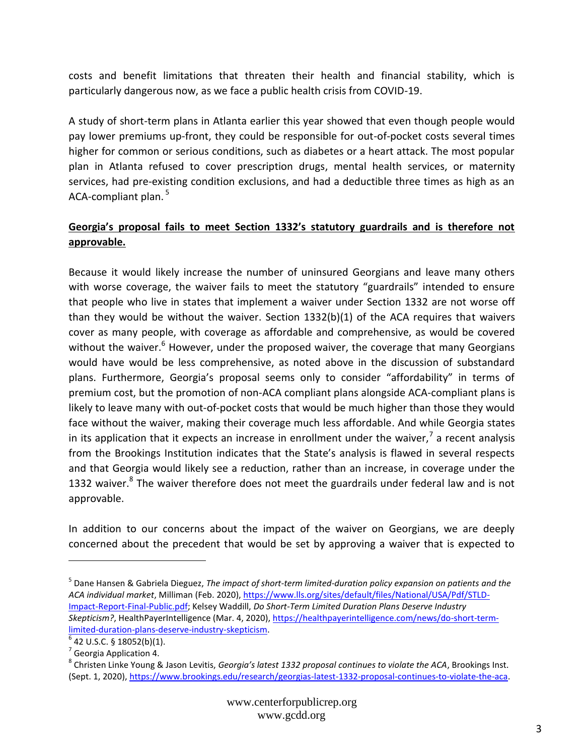costs and benefit limitations that threaten their health and financial stability, which is particularly dangerous now, as we face a public health crisis from COVID-19.

A study of short-term plans in Atlanta earlier this year showed that even though people would pay lower premiums up-front, they could be responsible for out-of-pocket costs several times higher for common or serious conditions, such as diabetes or a heart attack. The most popular plan in Atlanta refused to cover prescription drugs, mental health services, or maternity services, had pre-existing condition exclusions, and had a deductible three times as high as an ACA-compliant plan.<sup>5</sup>

## **Georgia's proposal fails to meet Section 1332's statutory guardrails and is therefore not approvable.**

Because it would likely increase the number of uninsured Georgians and leave many others with worse coverage, the waiver fails to meet the statutory "guardrails" intended to ensure that people who live in states that implement a waiver under Section 1332 are not worse off than they would be without the waiver. Section 1332(b)(1) of the ACA requires that waivers cover as many people, with coverage as affordable and comprehensive, as would be covered without the waiver.<sup>6</sup> However, under the proposed waiver, the coverage that many Georgians would have would be less comprehensive, as noted above in the discussion of substandard plans. Furthermore, Georgia's proposal seems only to consider "affordability" in terms of premium cost, but the promotion of non-ACA compliant plans alongside ACA-compliant plans is likely to leave many with out-of-pocket costs that would be much higher than those they would face without the waiver, making their coverage much less affordable. And while Georgia states in its application that it expects an increase in enrollment under the waiver,<sup>7</sup> a recent analysis from the Brookings Institution indicates that the State's analysis is flawed in several respects and that Georgia would likely see a reduction, rather than an increase, in coverage under the 1332 waiver.<sup>8</sup> The waiver therefore does not meet the guardrails under federal law and is not approvable.

In addition to our concerns about the impact of the waiver on Georgians, we are deeply concerned about the precedent that would be set by approving a waiver that is expected to

 $\overline{a}$ 

<sup>5</sup> Dane Hansen & Gabriela Dieguez, *The impact of short-term limited-duration policy expansion on patients and the ACA individual market*, Milliman (Feb. 2020), [https://www.lls.org/sites/default/files/National/USA/Pdf/STLD-](https://www.lls.org/sites/default/files/National/USA/Pdf/STLD-Impact-Report-Final-Public.pdf)[Impact-Report-Final-Public.pdf;](https://www.lls.org/sites/default/files/National/USA/Pdf/STLD-Impact-Report-Final-Public.pdf) Kelsey Waddill, *Do Short-Term Limited Duration Plans Deserve Industry Skepticism?*, HealthPayerIntelligence (Mar. 4, 2020), [https://healthpayerintelligence.com/news/do-short-term](https://healthpayerintelligence.com/news/do-short-term-limited-duration-plans-deserve-industry-skepticism)[limited-duration-plans-deserve-industry-skepticism.](https://healthpayerintelligence.com/news/do-short-term-limited-duration-plans-deserve-industry-skepticism)

 $6$  42 U.S.C. § 18052(b)(1).

 $<sup>7</sup>$  Georgia Application 4.</sup>

<sup>8</sup> Christen Linke Young & Jason Levitis, *Georgia's latest 1332 proposal continues to violate the ACA*, Brookings Inst. (Sept. 1, 2020), [https://www.brookings.edu/research/georgias-latest-1332-proposal-continues-to-violate-the-aca.](https://www.brookings.edu/research/georgias-latest-1332-proposal-continues-to-violate-the-aca)